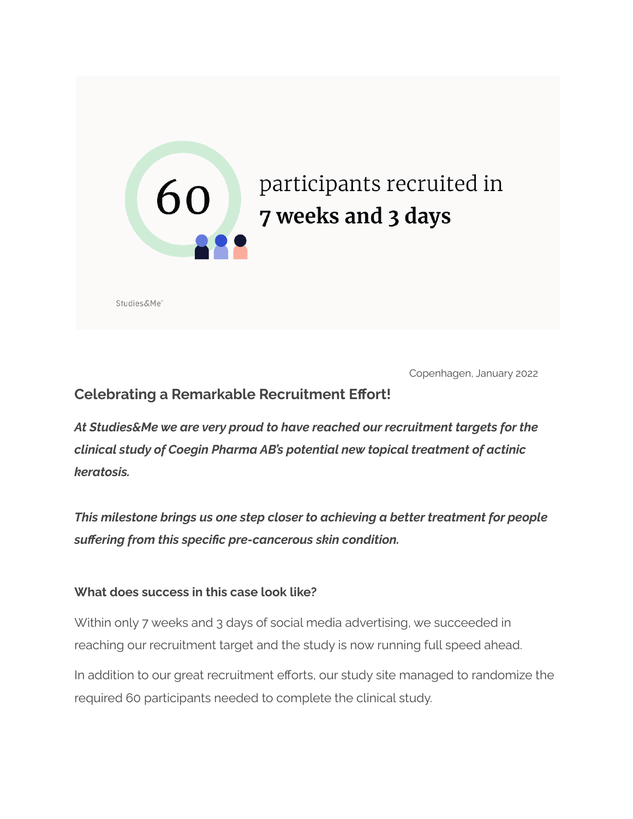

Copenhagen, January 2022

## **Celebrating a Remarkable Recruitment Effort!**

*At Studies&Me we are very proud to have reached our recruitment targets for the clinical study of Coegin Pharma AB's potential new topical treatment of actinic keratosis.*

*This milestone brings us one step closer to achieving a better treatment for people suffering from this specific pre-cancerous skin condition.*

### **What does success in this case look like?**

Within only 7 weeks and 3 days of social media advertising, we succeeded in reaching our recruitment target and the study is now running full speed ahead.

In addition to our great recruitment efforts, our study site managed to randomize the required 60 participants needed to complete the clinical study.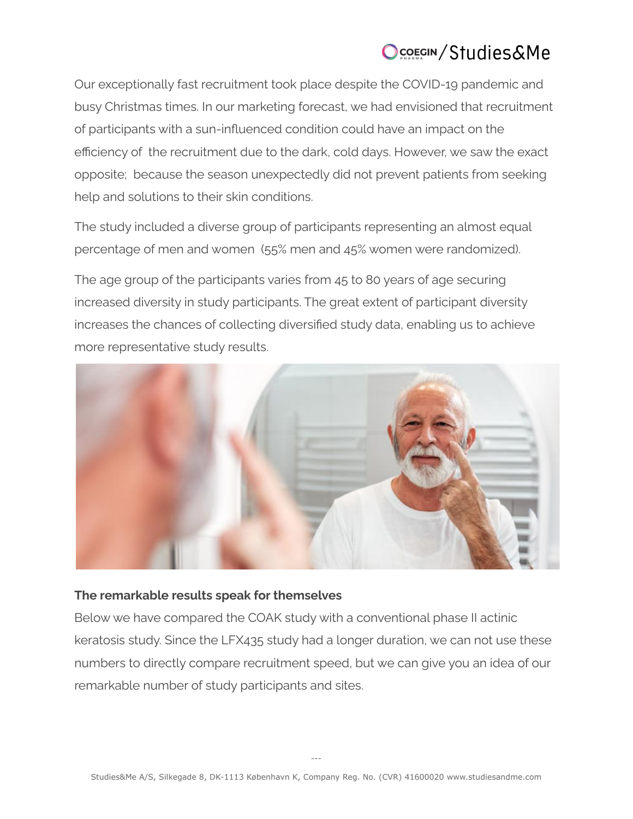# Ocorgin/Studies&Me

Our exceptionally fast recruitment took place despite the COVID-19 pandemic and busy Christmas times. In our marketing forecast, we had envisioned that recruitment of participants with a sun-influenced condition could have an impact on the efficiency of the recruitment due to the dark, cold days. However, we saw the exact opposite; because the season unexpectedly did not prevent patients from seeking help and solutions to their skin conditions.

The study included a diverse group of participants representing an almost equal percentage of men and women (55% men and 45% women were randomized).

The age group of the participants varies from 45 to 80 years of age securing increased diversity in study participants. The great extent of participant diversity increases the chances of collecting diversified study data, enabling us to achieve more representative study results.



### **The remarkable results speak for themselves**

Below we have compared the COAK study with a conventional phase II actinic keratosis study. Since the LFX435 study had a longer duration, we can not use these numbers to directly compare recruitment speed, but we can give you an idea of our remarkable number of study participants and sites.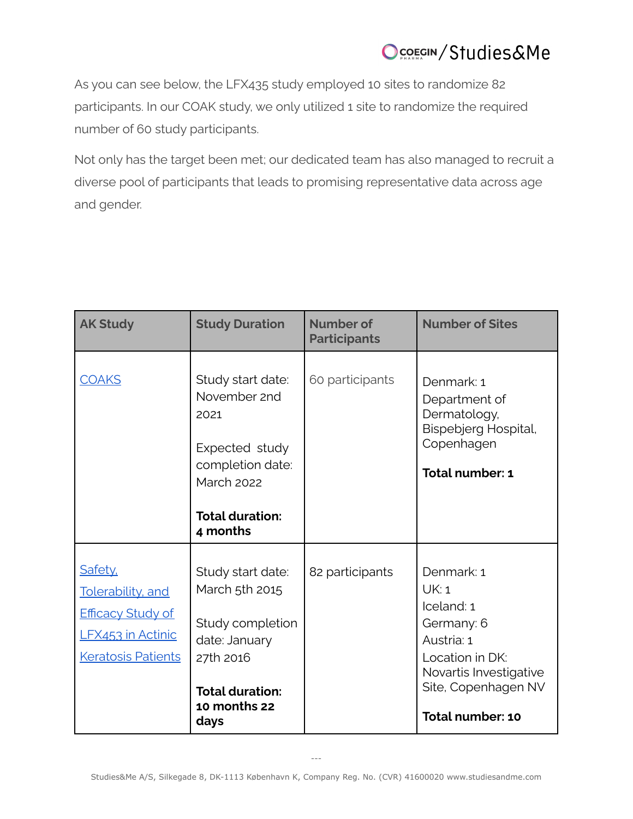# Ocorgin/Studies&Me

As you can see below, the LFX435 study employed 10 sites to randomize 82 participants. In our COAK study, we only utilized 1 site to randomize the required number of 60 study participants.

Not only has the target been met; our dedicated team has also managed to recruit a diverse pool of participants that leads to promising representative data across age and gender.

| <b>AK Study</b>                                                                                                    | <b>Study Duration</b>                                                                                                                      | Number of<br><b>Participants</b> | <b>Number of Sites</b>                                                                                                                                |
|--------------------------------------------------------------------------------------------------------------------|--------------------------------------------------------------------------------------------------------------------------------------------|----------------------------------|-------------------------------------------------------------------------------------------------------------------------------------------------------|
| <b>COAKS</b>                                                                                                       | Study start date:<br>November 2nd<br>2021<br>Expected study<br>completion date:<br><b>March 2022</b><br><b>Total duration:</b><br>4 months | 60 participants                  | Denmark: 1<br>Department of<br>Dermatology,<br>Bispebjerg Hospital,<br>Copenhagen<br>Total number: 1                                                  |
| Safety,<br><b>Tolerability</b> , and<br><b>Efficacy Study of</b><br>LFX453 in Actinic<br><b>Keratosis Patients</b> | Study start date:<br>March 5th 2015<br>Study completion<br>date: January<br>27th 2016<br><b>Total duration:</b><br>10 months 22<br>days    | 82 participants                  | Denmark: 1<br>UK: 1<br>Iceland: 1<br>Germany: 6<br>Austria: 1<br>Location in DK:<br>Novartis Investigative<br>Site, Copenhagen NV<br>Total number: 10 |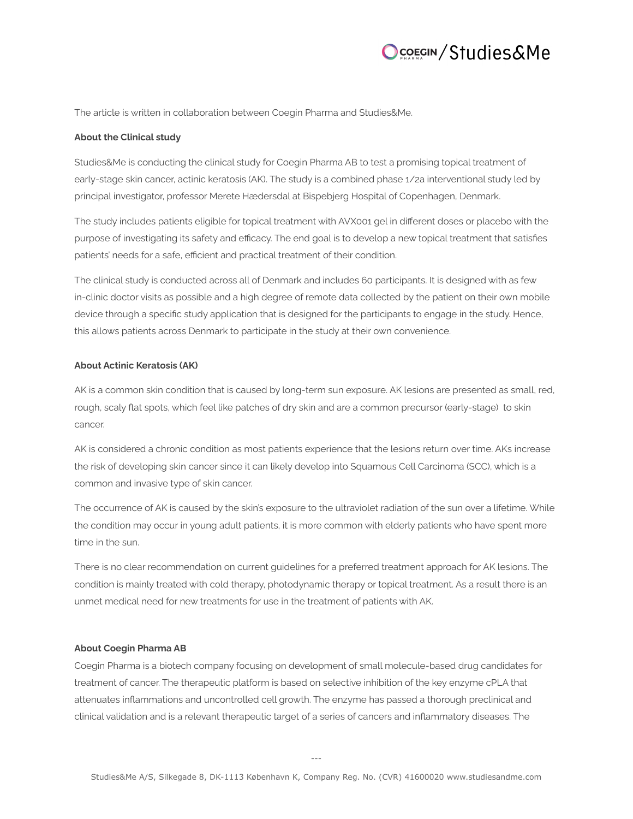## COECIN/Studies&Me

The article is written in collaboration between Coegin Pharma and Studies&Me.

#### **About the Clinical study**

Studies&Me is conducting the clinical study for Coegin Pharma AB to test a promising topical treatment of early-stage skin cancer, actinic keratosis (AK). The study is a combined phase 1/2a interventional study led by principal investigator, professor Merete Hædersdal at Bispebjerg Hospital of Copenhagen, Denmark.

The study includes patients eligible for topical treatment with AVX001 gel in different doses or placebo with the purpose of investigating its safety and efficacy. The end goal is to develop a new topical treatment that satisfies patients' needs for a safe, efficient and practical treatment of their condition.

The clinical study is conducted across all of Denmark and includes 60 participants. It is designed with as few in-clinic doctor visits as possible and a high degree of remote data collected by the patient on their own mobile device through a specific study application that is designed for the participants to engage in the study. Hence, this allows patients across Denmark to participate in the study at their own convenience.

#### **About Actinic Keratosis (AK)**

AK is a common skin condition that is caused by long-term sun exposure. AK lesions are presented as small, red, rough, scaly flat spots, which feel like patches of dry skin and are a common precursor (early-stage) to skin cancer.

AK is considered a chronic condition as most patients experience that the lesions return over time. AKs increase the risk of developing skin cancer since it can likely develop into Squamous Cell Carcinoma (SCC), which is a common and invasive type of skin cancer.

The occurrence of AK is caused by the skin's exposure to the ultraviolet radiation of the sun over a lifetime. While the condition may occur in young adult patients, it is more common with elderly patients who have spent more time in the sun.

There is no clear recommendation on current guidelines for a preferred treatment approach for AK lesions. The condition is mainly treated with cold therapy, photodynamic therapy or topical treatment. As a result there is an unmet medical need for new treatments for use in the treatment of patients with AK.

#### **About Coegin Pharma AB**

Coegin Pharma is a biotech company focusing on development of small molecule-based drug candidates for treatment of cancer. The therapeutic platform is based on selective inhibition of the key enzyme cPLA that attenuates inflammations and uncontrolled cell growth. The enzyme has passed a thorough preclinical and clinical validation and is a relevant therapeutic target of a series of cancers and inflammatory diseases. The